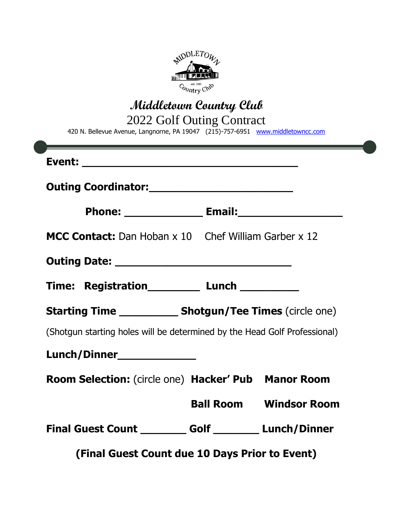

**Middletown Country Club** 2022 Golf Outing Contract

420 N. Bellevue Avenue, Langnorne, PA 19047 (215)-757-6951 [www.middletowncc.com](http://www.middletowncc.com/)

| <b>MCC Contact:</b> Dan Hoban x 10 Chef William Garber x 12               |  |                               |  |
|---------------------------------------------------------------------------|--|-------------------------------|--|
|                                                                           |  |                               |  |
| Time: Registration____________ Lunch ____________                         |  |                               |  |
| <b>Starting Time _____________ Shotgun/Tee Times (circle one)</b>         |  |                               |  |
| (Shotgun starting holes will be determined by the Head Golf Professional) |  |                               |  |
| Lunch/Dinner______________                                                |  |                               |  |
| Room Selection: (circle one) Hacker' Pub Manor Room                       |  |                               |  |
|                                                                           |  | <b>Ball Room Windsor Room</b> |  |
| Final Guest Count _________ Golf _________ Lunch/Dinner                   |  |                               |  |
| (Final Guest Count due 10 Days Prior to Event)                            |  |                               |  |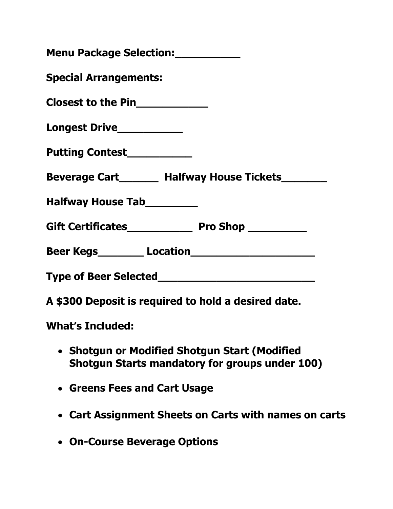| Menu Package Selection: ___________                                                                    |  |  |
|--------------------------------------------------------------------------------------------------------|--|--|
| <b>Special Arrangements:</b>                                                                           |  |  |
| Closest to the Pin____________                                                                         |  |  |
| Longest Drive___________                                                                               |  |  |
| Putting Contest___________                                                                             |  |  |
| Beverage Cart________ Halfway House Tickets_________                                                   |  |  |
| Halfway House Tab_________                                                                             |  |  |
|                                                                                                        |  |  |
|                                                                                                        |  |  |
|                                                                                                        |  |  |
| A \$300 Deposit is required to hold a desired date.                                                    |  |  |
| <b>What's Included:</b>                                                                                |  |  |
| • Shotgun or Modified Shotgun Start (Modified<br><b>Shotgun Starts mandatory for groups under 100)</b> |  |  |
| • Greens Fees and Cart Usage                                                                           |  |  |

- **Cart Assignment Sheets on Carts with names on carts**
- **On-Course Beverage Options**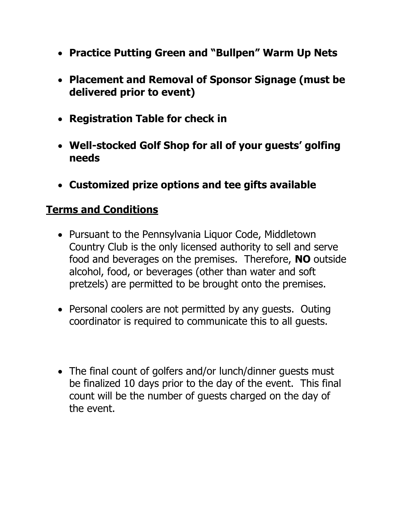- **Practice Putting Green and "Bullpen" Warm Up Nets**
- **Placement and Removal of Sponsor Signage (must be delivered prior to event)**
- **Registration Table for check in**
- **Well-stocked Golf Shop for all of your guests' golfing needs**
- **Customized prize options and tee gifts available**

## **Terms and Conditions**

- Pursuant to the Pennsylvania Liquor Code, Middletown Country Club is the only licensed authority to sell and serve food and beverages on the premises. Therefore, **NO** outside alcohol, food, or beverages (other than water and soft pretzels) are permitted to be brought onto the premises.
- Personal coolers are not permitted by any quests. Outing coordinator is required to communicate this to all guests.
- The final count of golfers and/or lunch/dinner quests must be finalized 10 days prior to the day of the event. This final count will be the number of guests charged on the day of the event.